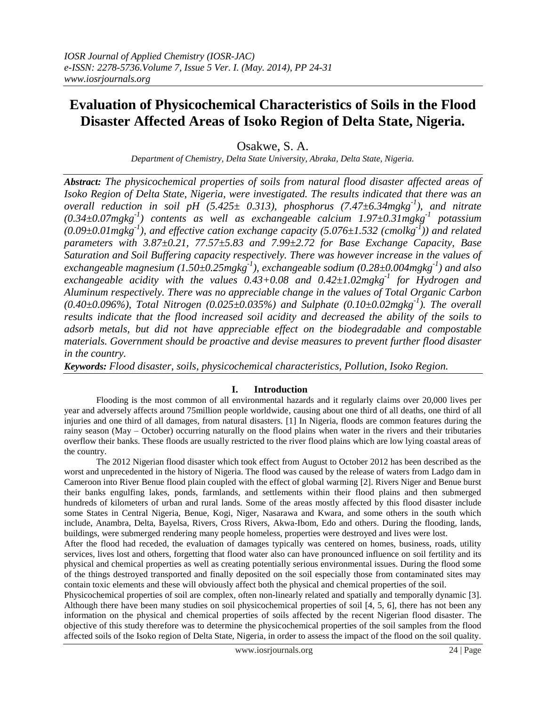# **Evaluation of Physicochemical Characteristics of Soils in the Flood Disaster Affected Areas of Isoko Region of Delta State, Nigeria.**

Osakwe, S. A.

*Department of Chemistry, Delta State University, Abraka, Delta State, Nigeria.*

*Abstract: The physicochemical properties of soils from natural flood disaster affected areas of Isoko Region of Delta State, Nigeria, were investigated. The results indicated that there was an overall reduction in soil pH (5.425± 0.313), phosphorus (7.47±6.34mgkg-1 ), and nitrate (0.34±0.07mgkg-1 ) contents as well as exchangeable calcium 1.97±0.31mgkg-1 potassium (0.09±0.01mgkg-1 ), and effective cation exchange capacity (5.076±1.532 (cmolkg-1 )) and related parameters with 3.87±0.21, 77.57±5.83 and 7.99±2.72 for Base Exchange Capacity, Base Saturation and Soil Buffering capacity respectively. There was however increase in the values of exchangeable magnesium (1.50±0.25mgkg-1 ), exchangeable sodium (0.28±0.004mgkg-1 ) and also exchangeable acidity with the values 0.43+0.08 and 0.42±1.02mgkg-1 for Hydrogen and Aluminum respectively. There was no appreciable change in the values of Total Organic Carbon (0.40±0.096%), Total Nitrogen (0.025±0.035%) and Sulphate (0.10±0.02mgkg-1 ). The overall results indicate that the flood increased soil acidity and decreased the ability of the soils to adsorb metals, but did not have appreciable effect on the biodegradable and compostable materials. Government should be proactive and devise measures to prevent further flood disaster in the country.*

*Keywords: Flood disaster, soils, physicochemical characteristics, Pollution, Isoko Region.*

# **I. Introduction**

Flooding is the most common of all environmental hazards and it regularly claims over 20,000 lives per year and adversely affects around 75million people worldwide, causing about one third of all deaths, one third of all injuries and one third of all damages, from natural disasters. [1] In Nigeria, floods are common features during the rainy season (May – October) occurring naturally on the flood plains when water in the rivers and their tributaries overflow their banks. These floods are usually restricted to the river flood plains which are low lying coastal areas of the country.

The 2012 Nigerian flood disaster which took effect from August to October 2012 has been described as the worst and unprecedented in the history of Nigeria. The flood was caused by the release of waters from Ladgo dam in Cameroon into River Benue flood plain coupled with the effect of global warming [2]. Rivers Niger and Benue burst their banks engulfing lakes, ponds, farmlands, and settlements within their flood plains and then submerged hundreds of kilometers of urban and rural lands. Some of the areas mostly affected by this flood disaster include some States in Central Nigeria, Benue, Kogi, Niger, Nasarawa and Kwara, and some others in the south which include, Anambra, Delta, Bayelsa, Rivers, Cross Rivers, Akwa-Ibom, Edo and others. During the flooding, lands, buildings, were submerged rendering many people homeless, properties were destroyed and lives were lost.

After the flood had receded, the evaluation of damages typically was centered on homes, business, roads, utility services, lives lost and others, forgetting that flood water also can have pronounced influence on soil fertility and its physical and chemical properties as well as creating potentially serious environmental issues. During the flood some of the things destroyed transported and finally deposited on the soil especially those from contaminated sites may contain toxic elements and these will obviously affect both the physical and chemical properties of the soil.

Physicochemical properties of soil are complex, often non-linearly related and spatially and temporally dynamic [3]. Although there have been many studies on soil physicochemical properties of soil [4, 5, 6], there has not been any information on the physical and chemical properties of soils affected by the recent Nigerian flood disaster. The objective of this study therefore was to determine the physicochemical properties of the soil samples from the flood affected soils of the Isoko region of Delta State, Nigeria, in order to assess the impact of the flood on the soil quality.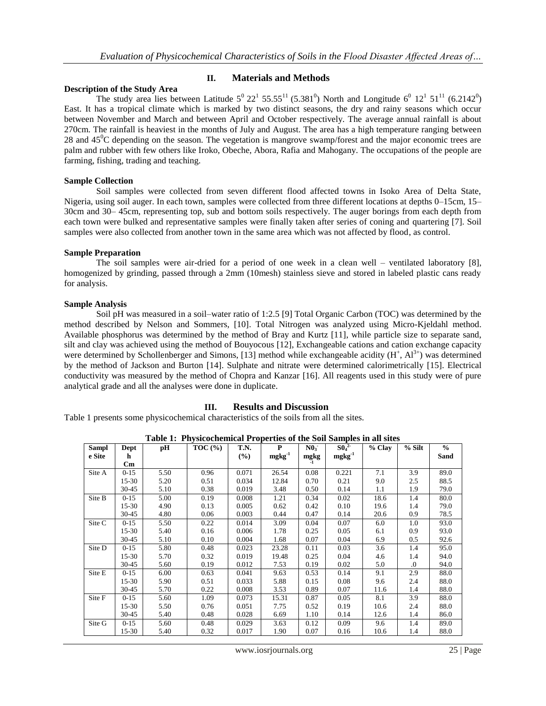# **II. Materials and Methods**

#### **Description of the Study Area**

The study area lies between Latitude  $5^0 22^1 55.55^{11} (5.381^0)$  North and Longitude  $6^0 12^1 51^{11} (6.2142^0)$ East. It has a tropical climate which is marked by two distinct seasons, the dry and rainy seasons which occur between November and March and between April and October respectively. The average annual rainfall is about 270cm. The rainfall is heaviest in the months of July and August. The area has a high temperature ranging between 28 and 45<sup>o</sup>C depending on the season. The vegetation is mangrove swamp/forest and the major economic trees are palm and rubber with few others like Iroko, Obeche, Abora, Rafia and Mahogany. The occupations of the people are farming, fishing, trading and teaching.

# **Sample Collection**

Soil samples were collected from seven different flood affected towns in Isoko Area of Delta State, Nigeria, using soil auger. In each town, samples were collected from three different locations at depths 0–15cm, 15– 30cm and 30– 45cm, representing top, sub and bottom soils respectively. The auger borings from each depth from each town were bulked and representative samples were finally taken after series of coning and quartering [7]. Soil samples were also collected from another town in the same area which was not affected by flood, as control.

#### **Sample Preparation**

The soil samples were air-dried for a period of one week in a clean well – ventilated laboratory [8], homogenized by grinding, passed through a 2mm (10mesh) stainless sieve and stored in labeled plastic cans ready for analysis.

#### **Sample Analysis**

Soil pH was measured in a soil–water ratio of 1:2.5 [9] Total Organic Carbon (TOC) was determined by the method described by Nelson and Sommers, [10]. Total Nitrogen was analyzed using Micro-Kjeldahl method. Available phosphorus was determined by the method of Bray and Kurtz [11], while particle size to separate sand, silt and clay was achieved using the method of Bouyocous [12], Exchangeable cations and cation exchange capacity were determined by Schollenberger and Simons, [13] method while exchangeable acidity  $(H^+, Al^{3+})$  was determined by the method of Jackson and Burton [14]. Sulphate and nitrate were determined calorimetrically [15]. Electrical conductivity was measured by the method of Chopra and Kanzar [16]. All reagents used in this study were of pure analytical grade and all the analyses were done in duplicate.

# **III. Results and Discussion**

Table 1 presents some physicochemical characteristics of the soils from all the sites.

|              |                        |      | rabic 1. Thysicochemical Froperties of the boll samples in |       |             |                 |             |          |         |               |
|--------------|------------------------|------|------------------------------------------------------------|-------|-------------|-----------------|-------------|----------|---------|---------------|
| <b>Sampl</b> | Dept                   | рH   | $TOC$ $(\% )$                                              | T.N.  | P           | N0 <sub>3</sub> | $50^{2}$    | $%$ Clay | % Silt  | $\frac{0}{0}$ |
| e Site       | h                      |      |                                                            | (%)   | $mgkg^{-1}$ | mgkg            | $mgkg^{-1}$ |          |         | Sand          |
|              | $\mathbf{C}\mathbf{m}$ |      |                                                            |       |             |                 |             |          |         |               |
| Site A       | $0-15$                 | 5.50 | 0.96                                                       | 0.071 | 26.54       | 0.08            | 0.221       | 7.1      | 3.9     | 89.0          |
|              | $15-30$                | 5.20 | 0.51                                                       | 0.034 | 12.84       | 0.70            | 0.21        | 9.0      | 2.5     | 88.5          |
|              | $30 - 45$              | 5.10 | 0.38                                                       | 0.019 | 3.48        | 0.50            | 0.14        | 1.1      | 1.9     | 79.0          |
| Site B       | $0 - 15$               | 5.00 | 0.19                                                       | 0.008 | 1.21        | 0.34            | 0.02        | 18.6     | 1.4     | 80.0          |
|              | $15-30$                | 4.90 | 0.13                                                       | 0.005 | 0.62        | 0.42            | 0.10        | 19.6     | 1.4     | 79.0          |
|              | $30 - 45$              | 4.80 | 0.06                                                       | 0.003 | 0.44        | 0.47            | 0.14        | 20.6     | 0.9     | 78.5          |
| Site C       | $0-15$                 | 5.50 | 0.22                                                       | 0.014 | 3.09        | 0.04            | 0.07        | 6.0      | $1.0\,$ | 93.0          |
|              | $15-30$                | 5.40 | 0.16                                                       | 0.006 | 1.78        | 0.25            | 0.05        | 6.1      | 0.9     | 93.0          |
|              | $30 - 45$              | 5.10 | 0.10                                                       | 0.004 | 1.68        | 0.07            | 0.04        | 6.9      | 0.5     | 92.6          |
| Site D       | $0 - 15$               | 5.80 | 0.48                                                       | 0.023 | 23.28       | 0.11            | 0.03        | 3.6      | 1.4     | 95.0          |
|              | $15-30$                | 5.70 | 0.32                                                       | 0.019 | 19.48       | 0.25            | 0.04        | 4.6      | 1.4     | 94.0          |
|              | $30 - 45$              | 5.60 | 0.19                                                       | 0.012 | 7.53        | 0.19            | 0.02        | 5.0      | $\cdot$ | 94.0          |
| Site E       | $0-15$                 | 6.00 | 0.63                                                       | 0.041 | 9.63        | 0.53            | 0.14        | 9.1      | 2.9     | 88.0          |
|              | $15-30$                | 5.90 | 0.51                                                       | 0.033 | 5.88        | 0.15            | 0.08        | 9.6      | 2.4     | 88.0          |
|              | $30 - 45$              | 5.70 | 0.22                                                       | 0.008 | 3.53        | 0.89            | 0.07        | 11.6     | 1.4     | 88.0          |
| Site F       | $0 - 15$               | 5.60 | 1.09                                                       | 0.073 | 15.31       | 0.87            | 0.05        | 8.1      | 3.9     | 88.0          |
|              | $15 - 30$              | 5.50 | 0.76                                                       | 0.051 | 7.75        | 0.52            | 0.19        | 10.6     | 2.4     | 88.0          |
|              | $30 - 45$              | 5.40 | 0.48                                                       | 0.028 | 6.69        | 1.10            | 0.14        | 12.6     | 1.4     | 86.0          |
| Site G       | $0 - 15$               | 5.60 | 0.48                                                       | 0.029 | 3.63        | 0.12            | 0.09        | 9.6      | 1.4     | 89.0          |
|              | $15-30$                | 5.40 | 0.32                                                       | 0.017 | 1.90        | 0.07            | 0.16        | 10.6     | 1.4     | 88.0          |

**Table 1: Physicochemical Properties of the Soil Samples in all sites**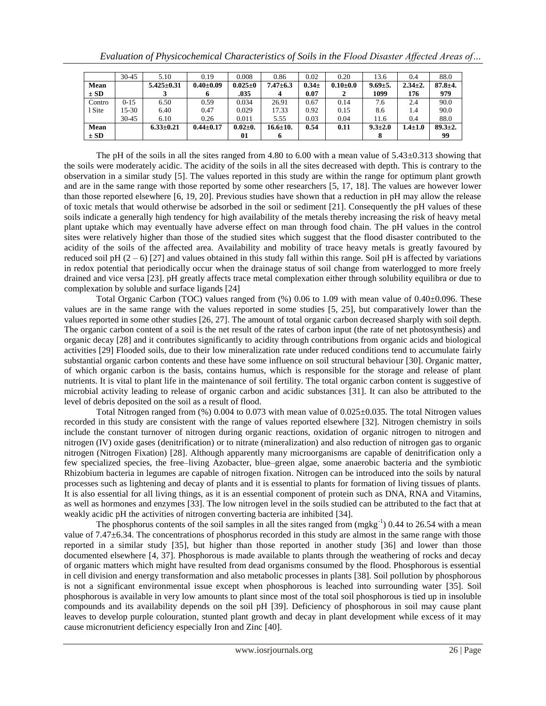|             | $30 - 45$ | 5.10             | 0.19            | 0.008         | 0.86           | 0.02     | 0.20           | 13.6          | 0.4           | 88.0          |
|-------------|-----------|------------------|-----------------|---------------|----------------|----------|----------------|---------------|---------------|---------------|
| Mean        |           | $5.425 \pm 0.31$ | $0.40{\pm}0.09$ | $0.025 \pm 0$ | $7.47 \pm 6.3$ | $0.34 +$ | $0.10{\pm}0.0$ | $9.69 \pm 5.$ | $2.34 \pm 2.$ | $87.8 + 4.$   |
| $\pm$ SD    |           |                  | D               | .035          |                | 0.07     |                | 1099          | 176           | 979           |
| Contro      | $0 - 15$  | 6.50             | 0.59            | 0.034         | 26.91          | 0.67     | 0.14           | 7.6           | 2.4           | 90.0          |
| l Site      | 15-30     | 6.40             | 0.47            | 0.029         | 17.33          | 0.92     | 0.15           | 8.6           | 1.4           | 90.0          |
|             | $30 - 45$ | 6.10             | 0.26            | 0.011         | 5.55           | 0.03     | 0.04           | 11.6          | 0.4           | 88.0          |
| <b>Mean</b> |           | $6.33 \pm 0.21$  | $0.44 \pm 0.17$ | $0.02 \pm 0.$ | $16.6 \pm 10.$ | 0.54     | 0.11           | $9.3 \pm 2.0$ | $1.4 \pm 1.0$ | $89.3 \pm 2.$ |
| $\pm SD$    |           |                  |                 | 01            |                |          |                |               |               | 99            |

The pH of the soils in all the sites ranged from 4.80 to 6.00 with a mean value of 5.43 $\pm$ 0.313 showing that the soils were moderately acidic. The acidity of the soils in all the sites decreased with depth. This is contrary to the observation in a similar study [5]. The values reported in this study are within the range for optimum plant growth and are in the same range with those reported by some other researchers [5, 17, 18]. The values are however lower than those reported elsewhere [6, 19, 20]. Previous studies have shown that a reduction in pH may allow the release of toxic metals that would otherwise be adsorbed in the soil or sediment [21]. Consequently the pH values of these soils indicate a generally high tendency for high availability of the metals thereby increasing the risk of heavy metal plant uptake which may eventually have adverse effect on man through food chain. The pH values in the control sites were relatively higher than those of the studied sites which suggest that the flood disaster contributed to the acidity of the soils of the affected area. Availability and mobility of trace heavy metals is greatly favoured by reduced soil pH  $(2 - 6)$  [27] and values obtained in this study fall within this range. Soil pH is affected by variations in redox potential that periodically occur when the drainage status of soil change from waterlogged to more freely drained and vice versa [23]. pH greatly affects trace metal complexation either through solubility equilibra or due to complexation by soluble and surface ligands [24]

Total Organic Carbon (TOC) values ranged from (%) 0.06 to 1.09 with mean value of 0.40±0.096. These values are in the same range with the values reported in some studies [5, 25], but comparatively lower than the values reported in some other studies [26, 27]. The amount of total organic carbon decreased sharply with soil depth. The organic carbon content of a soil is the net result of the rates of carbon input (the rate of net photosynthesis) and organic decay [28] and it contributes significantly to acidity through contributions from organic acids and biological activities [29] Flooded soils, due to their low mineralization rate under reduced conditions tend to accumulate fairly substantial organic carbon contents and these have some influence on soil structural behaviour [30]. Organic matter, of which organic carbon is the basis, contains humus, which is responsible for the storage and release of plant nutrients. It is vital to plant life in the maintenance of soil fertility. The total organic carbon content is suggestive of microbial activity leading to release of organic carbon and acidic substances [31]. It can also be attributed to the level of debris deposited on the soil as a result of flood.

Total Nitrogen ranged from (%) 0.004 to 0.073 with mean value of 0.025±0.035. The total Nitrogen values recorded in this study are consistent with the range of values reported elsewhere [32]. Nitrogen chemistry in soils include the constant turnover of nitrogen during organic reactions, oxidation of organic nitrogen to nitrogen and nitrogen (IV) oxide gases (denitrification) or to nitrate (mineralization) and also reduction of nitrogen gas to organic nitrogen (Nitrogen Fixation) [28]. Although apparently many microorganisms are capable of denitrification only a few specialized species, the free–living Azobacter, blue–green algae, some anaerobic bacteria and the symbiotic Rhizobium bacteria in legumes are capable of nitrogen fixation. Nitrogen can be introduced into the soils by natural processes such as lightening and decay of plants and it is essential to plants for formation of living tissues of plants. It is also essential for all living things, as it is an essential component of protein such as DNA, RNA and Vitamins, as well as hormones and enzymes [33]. The low nitrogen level in the soils studied can be attributed to the fact that at weakly acidic pH the activities of nitrogen converting bacteria are inhibited [34].

The phosphorus contents of the soil samples in all the sites ranged from  $(mgkg^{-1})$  0.44 to 26.54 with a mean value of 7.47±6.34. The concentrations of phosphorus recorded in this study are almost in the same range with those reported in a similar study [35], but higher than those reported in another study [36] and lower than those documented elsewhere [4, 37]. Phosphorous is made available to plants through the weathering of rocks and decay of organic matters which might have resulted from dead organisms consumed by the flood. Phosphorous is essential in cell division and energy transformation and also metabolic processes in plants [38]. Soil pollution by phosphorous is not a significant environmental issue except when phosphorous is leached into surrounding water [35]. Soil phosphorous is available in very low amounts to plant since most of the total soil phosphorous is tied up in insoluble compounds and its availability depends on the soil pH [39]. Deficiency of phosphorous in soil may cause plant leaves to develop purple colouration, stunted plant growth and decay in plant development while excess of it may cause micronutrient deficiency especially Iron and Zinc [40].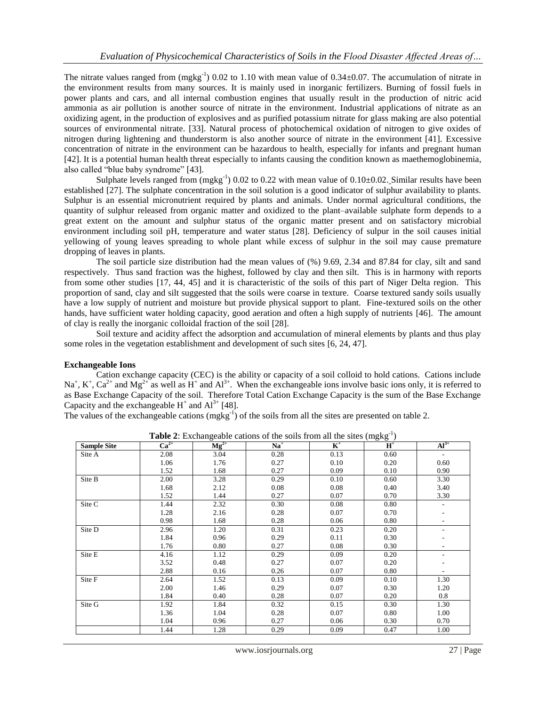The nitrate values ranged from  $(mgkg^{-1})$  0.02 to 1.10 with mean value of 0.34 $\pm$ 0.07. The accumulation of nitrate in the environment results from many sources. It is mainly used in inorganic fertilizers. Burning of fossil fuels in power plants and cars, and all internal combustion engines that usually result in the production of nitric acid ammonia as air pollution is another source of nitrate in the environment. Industrial applications of nitrate as an oxidizing agent, in the production of explosives and as purified potassium nitrate for glass making are also potential sources of environmental nitrate. [33]. Natural process of photochemical oxidation of nitrogen to give oxides of nitrogen during lightening and thunderstorm is also another source of nitrate in the environment [41]. Excessive concentration of nitrate in the environment can be hazardous to health, especially for infants and pregnant human [42]. It is a potential human health threat especially to infants causing the condition known as maethemoglobinemia, also called "blue baby syndrome" [43].

Sulphate levels ranged from  $(mgkg^{-1})$  0.02 to 0.22 with mean value of 0.10 $\pm$ 0.02. Similar results have been established [27]. The sulphate concentration in the soil solution is a good indicator of sulphur availability to plants. Sulphur is an essential micronutrient required by plants and animals. Under normal agricultural conditions, the quantity of sulphur released from organic matter and oxidized to the plant–available sulphate form depends to a great extent on the amount and sulphur status of the organic matter present and on satisfactory microbial environment including soil pH, temperature and water status [28]. Deficiency of sulpur in the soil causes initial yellowing of young leaves spreading to whole plant while excess of sulphur in the soil may cause premature dropping of leaves in plants.

The soil particle size distribution had the mean values of (%) 9.69, 2.34 and 87.84 for clay, silt and sand respectively. Thus sand fraction was the highest, followed by clay and then silt. This is in harmony with reports from some other studies [17, 44, 45] and it is characteristic of the soils of this part of Niger Delta region. This proportion of sand, clay and silt suggested that the soils were coarse in texture. Coarse textured sandy soils usually have a low supply of nutrient and moisture but provide physical support to plant. Fine-textured soils on the other hands, have sufficient water holding capacity, good aeration and often a high supply of nutrients [46]. The amount of clay is really the inorganic colloidal fraction of the soil [28].

Soil texture and acidity affect the adsorption and accumulation of mineral elements by plants and thus play some roles in the vegetation establishment and development of such sites [6, 24, 47].

# **Exchangeable Ions**

Cation exchange capacity (CEC) is the ability or capacity of a soil colloid to hold cations. Cations include Na<sup>+</sup>,  $K^+$ ,  $Ca^{2+}$  and  $Mg^{2+}$  as well as H<sup>+</sup> and Al<sup>3+</sup>. When the exchangeable ions involve basic ions only, it is referred to as Base Exchange Capacity of the soil. Therefore Total Cation Exchange Capacity is the sum of the Base Exchange Capacity and the exchangeable  $H^+$  and  $Al^{3+}$  [48].

The values of the exchangeable cations  $(mgkg^{-1})$  of the soils from all the sites are presented on table 2.

| <b>Sample Site</b> | $Ca2+$ | $Mg^{2+}$ | $Na+$ | $\mathbf{K}^+$ | $H^+$ | $Al^{3+}$                |
|--------------------|--------|-----------|-------|----------------|-------|--------------------------|
| Site A             | 2.08   | 3.04      | 0.28  | 0.13           | 0.60  |                          |
|                    | 1.06   | 1.76      | 0.27  | 0.10           | 0.20  | 0.60                     |
|                    | 1.52   | 1.68      | 0.27  | 0.09           | 0.10  | 0.90                     |
| Site B             | 2.00   | 3.28      | 0.29  | 0.10           | 0.60  | 3.30                     |
|                    | 1.68   | 2.12      | 0.08  | 0.08           | 0.40  | 3.40                     |
|                    | 1.52   | 1.44      | 0.27  | 0.07           | 0.70  | 3.30                     |
| Site C             | 1.44   | 2.32      | 0.30  | 0.08           | 0.80  | ٠                        |
|                    | 1.28   | 2.16      | 0.28  | 0.07           | 0.70  |                          |
|                    | 0.98   | 1.68      | 0.28  | 0.06           | 0.80  |                          |
| Site D             | 2.96   | 1.20      | 0.31  | 0.23           | 0.20  |                          |
|                    | 1.84   | 0.96      | 0.29  | 0.11           | 0.30  |                          |
|                    | 1.76   | 0.80      | 0.27  | 0.08           | 0.30  | ٠                        |
| Site E             | 4.16   | 1.12      | 0.29  | 0.09           | 0.20  |                          |
|                    | 3.52   | 0.48      | 0.27  | 0.07           | 0.20  |                          |
|                    | 2.88   | 0.16      | 0.26  | 0.07           | 0.80  | $\overline{\phantom{0}}$ |
| Site F             | 2.64   | 1.52      | 0.13  | 0.09           | 0.10  | 1.30                     |
|                    | 2.00   | 1.46      | 0.29  | 0.07           | 0.30  | 1.20                     |
|                    | 1.84   | 0.40      | 0.28  | 0.07           | 0.20  | 0.8                      |
| Site G             | 1.92   | 1.84      | 0.32  | 0.15           | 0.30  | 1.30                     |
|                    | 1.36   | 1.04      | 0.28  | 0.07           | 0.80  | 1.00                     |
|                    | 1.04   | 0.96      | 0.27  | 0.06           | 0.30  | 0.70                     |
|                    | 1.44   | 1.28      | 0.29  | 0.09           | 0.47  | 1.00                     |

**Table 2:** Exchangeable cations of the soils from all the sites  $(mgkg^{-1})$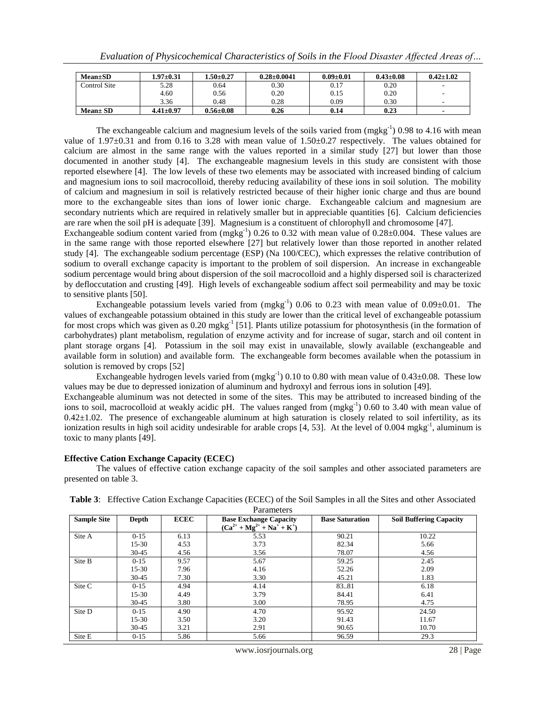| $Mean \pm SD$ | $.97 \pm 0.31$  | $.50 \pm 0.27$  | $0.28 \pm 0.0041$ | $0.09 \pm 0.01$ | $0.43 \pm 0.08$ | $0.42 \pm 1.02$ |
|---------------|-----------------|-----------------|-------------------|-----------------|-----------------|-----------------|
| Control Site  | 5.28            | 0.64            | 0.30              | 0.17            | 0.20            |                 |
|               | 4.60            | 0.56            | 0.20              | 0.15            | 0.20            |                 |
|               | 3.36            | 0.48            | 0.28              | 0.09            | 0.30            |                 |
| $Mean \pm SD$ | $4.41 \pm 0.97$ | $0.56 \pm 0.08$ | 0.26              | 0.14            | 0.23            |                 |

The exchangeable calcium and magnesium levels of the soils varied from  $(mgkg<sup>-1</sup>)$  0.98 to 4.16 with mean value of 1.97±0.31 and from 0.16 to 3.28 with mean value of 1.50±0.27 respectively. The values obtained for calcium are almost in the same range with the values reported in a similar study [27] but lower than those documented in another study [4]. The exchangeable magnesium levels in this study are consistent with those reported elsewhere [4]. The low levels of these two elements may be associated with increased binding of calcium and magnesium ions to soil macrocolloid, thereby reducing availability of these ions in soil solution. The mobility of calcium and magnesium in soil is relatively restricted because of their higher ionic charge and thus are bound more to the exchangeable sites than ions of lower ionic charge. Exchangeable calcium and magnesium are secondary nutrients which are required in relatively smaller but in appreciable quantities [6]. Calcium deficiencies are rare when the soil pH is adequate [39]. Magnesium is a constituent of chlorophyll and chromosome [47].

Exchangeable sodium content varied from  $(mgkg^{-1})$  0.26 to 0.32 with mean value of 0.28 $\pm$ 0.004. These values are in the same range with those reported elsewhere [27] but relatively lower than those reported in another related study [4]. The exchangeable sodium percentage (ESP) (Na 100/CEC), which expresses the relative contribution of sodium to overall exchange capacity is important to the problem of soil dispersion. An increase in exchangeable sodium percentage would bring about dispersion of the soil macrocolloid and a highly dispersed soil is characterized by defloccutation and crusting [49]. High levels of exchangeable sodium affect soil permeability and may be toxic to sensitive plants [50].

Exchangeable potassium levels varied from  $(mgkg^{-1})$  0.06 to 0.23 with mean value of 0.09 $\pm$ 0.01. The values of exchangeable potassium obtained in this study are lower than the critical level of exchangeable potassium for most crops which was given as  $0.20$  mgkg<sup>-1</sup> [51]. Plants utilize potassium for photosynthesis (in the formation of carbohydrates) plant metabolism, regulation of enzyme activity and for increase of sugar, starch and oil content in plant storage organs [4]. Potassium in the soil may exist in unavailable, slowly available (exchangeable and available form in solution) and available form. The exchangeable form becomes available when the potassium in solution is removed by crops [52]

Exchangeable hydrogen levels varied from  $(mgkg^{-1})$  0.10 to 0.80 with mean value of 0.43 $\pm$ 0.08. These low values may be due to depressed ionization of aluminum and hydroxyl and ferrous ions in solution [49].

Exchangeable aluminum was not detected in some of the sites. This may be attributed to increased binding of the ions to soil, macrocolloid at weakly acidic pH. The values ranged from (mgkg<sup>-1</sup>) 0.60 to 3.40 with mean value of  $0.42\pm1.02$ . The presence of exchangeable aluminum at high saturation is closely related to soil infertility, as its ionization results in high soil acidity undesirable for arable crops [4, 53]. At the level of 0.004 mgkg<sup>-1</sup>, aluminum is toxic to many plants [49].

#### **Effective Cation Exchange Capacity (ECEC)**

The values of effective cation exchange capacity of the soil samples and other associated parameters are presented on table 3.

| <b>Sample Site</b> | Depth     | <b>ECEC</b> | <b>Base Exchange Capacity</b><br>$(Ca^{2+} + Mg^{2+} + Na^{+} + K^{+})$ | <b>Base Saturation</b> | <b>Soil Buffering Capacity</b> |
|--------------------|-----------|-------------|-------------------------------------------------------------------------|------------------------|--------------------------------|
| Site A             | $0 - 15$  | 6.13        | 5.53                                                                    | 90.21                  | 10.22                          |
|                    | $15-30$   | 4.53        | 3.73                                                                    | 82.34                  | 5.66                           |
|                    | $30 - 45$ | 4.56        | 3.56                                                                    | 78.07                  | 4.56                           |
| Site B             | $0 - 15$  | 9.57        | 5.67                                                                    | 59.25                  | 2.45                           |
|                    | $15-30$   | 7.96        | 4.16                                                                    | 52.26                  | 2.09                           |
|                    | $30-45$   | 7.30        | 3.30                                                                    | 45.21                  | 1.83                           |
| Site C             | $0 - 15$  | 4.94        | 4.14                                                                    | 83.81                  | 6.18                           |
|                    | $15 - 30$ | 4.49        | 3.79                                                                    | 84.41                  | 6.41                           |
|                    | $30 - 45$ | 3.80        | 3.00                                                                    | 78.95                  | 4.75                           |
| Site D             | $0 - 15$  | 4.90        | 4.70                                                                    | 95.92                  | 24.50                          |
|                    | $15 - 30$ | 3.50        | 3.20                                                                    | 91.43                  | 11.67                          |
|                    | $30 - 45$ | 3.21        | 2.91                                                                    | 90.65                  | 10.70                          |
| Site E             | $0 - 15$  | 5.86        | 5.66                                                                    | 96.59                  | 29.3                           |

**Table 3**: Effective Cation Exchange Capacities (ECEC) of the Soil Samples in all the Sites and other Associated **D**aramatars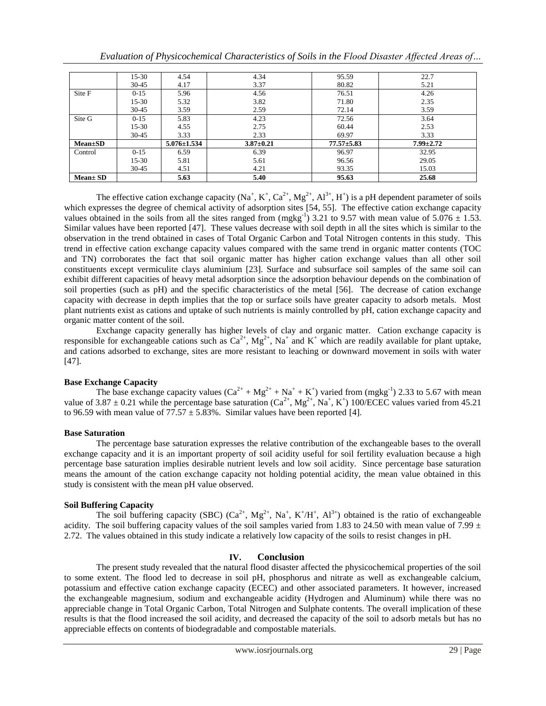| 5.32<br>$15 - 30$<br>$30 - 45$<br>3.59<br>5.83<br>$0 - 15$<br>4.55<br>$15 - 30$<br>3.33<br>$30 - 45$ | Site G | 2.59<br>4.23<br>2.75<br>2.33 | 72.14<br>72.56<br>60.44<br>69.97 | 3.59<br>3.64<br>2.53<br>3.33 |
|------------------------------------------------------------------------------------------------------|--------|------------------------------|----------------------------------|------------------------------|
|                                                                                                      |        |                              |                                  |                              |
|                                                                                                      |        |                              |                                  |                              |
|                                                                                                      |        |                              |                                  |                              |
|                                                                                                      |        | 3.82                         | 71.80                            | 2.35                         |
| 5.96<br>$0 - 15$                                                                                     | Site F | 4.56                         | 76.51                            | 4.26                         |
| $30 - 45$<br>4.17                                                                                    |        | 3.37                         | 80.82                            | 22.7<br>5.21                 |
|                                                                                                      |        | 4.54                         | $15 - 30$<br>4.34                | 95.59                        |

*Evaluation of Physicochemical Characteristics of Soils in the Flood Disaster Affected Areas of…*

The effective cation exchange capacity  $(Na^+, K^+, Ca^{2+}, Mg^{2+}, Al^{3+}, H^+)$  is a pH dependent parameter of soils which expresses the degree of chemical activity of adsorption sites [54, 55]. The effective cation exchange capacity values obtained in the soils from all the sites ranged from  $(mgkg^{-1})$  3.21 to 9.57 with mean value of 5.076  $\pm$  1.53. Similar values have been reported [47]. These values decrease with soil depth in all the sites which is similar to the observation in the trend obtained in cases of Total Organic Carbon and Total Nitrogen contents in this study. This trend in effective cation exchange capacity values compared with the same trend in organic matter contents (TOC and TN) corroborates the fact that soil organic matter has higher cation exchange values than all other soil constituents except vermiculite clays aluminium [23]. Surface and subsurface soil samples of the same soil can exhibit different capacities of heavy metal adsorption since the adsorption behaviour depends on the combination of soil properties (such as pH) and the specific characteristics of the metal [56]. The decrease of cation exchange capacity with decrease in depth implies that the top or surface soils have greater capacity to adsorb metals. Most plant nutrients exist as cations and uptake of such nutrients is mainly controlled by pH, cation exchange capacity and organic matter content of the soil.

Exchange capacity generally has higher levels of clay and organic matter. Cation exchange capacity is responsible for exchangeable cations such as  $Ca^{2+}$ ,  $Mg^{2+}$ ,  $Na^{+}$  and  $K^{+}$  which are readily available for plant uptake, and cations adsorbed to exchange, sites are more resistant to leaching or downward movement in soils with water [47].

# **Base Exchange Capacity**

The base exchange capacity values  $(Ca^{2+} + Mg^{2+} + Na^+ + K^+)$  varied from (mgkg<sup>-1</sup>) 2.33 to 5.67 with mean value of 3.87  $\pm$  0.21 while the percentage base saturation (Ca<sup>2+</sup>, Mg<sup>2+</sup>, Na<sup>+</sup>, K<sup>+</sup>) 100/ECEC values varied from 45.21 to 96.59 with mean value of  $77.57 \pm 5.83\%$ . Similar values have been reported [4].

# **Base Saturation**

The percentage base saturation expresses the relative contribution of the exchangeable bases to the overall exchange capacity and it is an important property of soil acidity useful for soil fertility evaluation because a high percentage base saturation implies desirable nutrient levels and low soil acidity. Since percentage base saturation means the amount of the cation exchange capacity not holding potential acidity, the mean value obtained in this study is consistent with the mean pH value observed.

# **Soil Buffering Capacity**

The soil buffering capacity (SBC)  $(Ca^{2+}, Mg^{2+}, Na^+, K^+/H^+, Al^{3+})$  obtained is the ratio of exchangeable acidity. The soil buffering capacity values of the soil samples varied from 1.83 to 24.50 with mean value of 7.99  $\pm$ 2.72. The values obtained in this study indicate a relatively low capacity of the soils to resist changes in pH.

# **IV. Conclusion**

The present study revealed that the natural flood disaster affected the physicochemical properties of the soil to some extent. The flood led to decrease in soil pH, phosphorus and nitrate as well as exchangeable calcium, potassium and effective cation exchange capacity (ECEC) and other associated parameters. It however, increased the exchangeable magnesium, sodium and exchangeable acidity (Hydrogen and Aluminum) while there was no appreciable change in Total Organic Carbon, Total Nitrogen and Sulphate contents. The overall implication of these results is that the flood increased the soil acidity, and decreased the capacity of the soil to adsorb metals but has no appreciable effects on contents of biodegradable and compostable materials.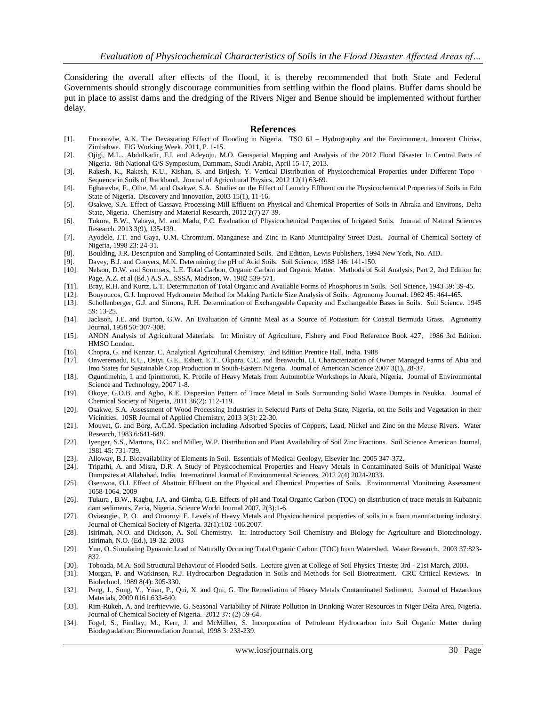Considering the overall after effects of the flood, it is thereby recommended that both State and Federal Governments should strongly discourage communities from settling within the flood plains. Buffer dams should be put in place to assist dams and the dredging of the Rivers Niger and Benue should be implemented without further delay.

#### **References**

- [1]. Etuonovbe, A.K. The Devastating Effect of Flooding in Nigeria. TSO 6J Hydrography and the Environment, Innocent Chirisa, Zimbabwe. FIG Working Week, 2011, P. 1-15.
- [2]. Ojigi, M.L., Abdulkadir, F.I. and Adeyoju, M.O. Geospatial Mapping and Analysis of the 2012 Flood Disaster In Central Parts of Nigeria. 8th National G/S Symposium, Dammam, Saudi Arabia, April 15-17, 2013.
- [3]. Rakesh, K., Rakesh, K.U., Kishan, S. and Brijesh, Y. Vertical Distribution of Physicochemical Properties under Different Topo Sequence in Soils of Jharkhand. Journal of Agricultural Physics, 2012 12(1) 63-69.
- [4]. Egharevba, F., Olite, M. and Osakwe, S.A. Studies on the Effect of Laundry Effluent on the Physicochemical Properties of Soils in Edo State of Nigeria. Discovery and Innovation, 2003 15(1), 11-16.
- [5]. Osakwe, S.A. Effect of Cassava Processing Mill Effluent on Physical and Chemical Properties of Soils in Abraka and Environs, Delta State, Nigeria. Chemistry and Material Research, 2012 2(7) 27-39.
- [6]. Tukura, B.W., Yahaya, M. and Madu, P.C. Evaluation of Physicochemical Properties of Irrigated Soils. Journal of Natural Sciences Research. 2013 3(9), 135-139.
- [7]. Ayodele, J.T. and Gaya, U.M. Chromium, Manganese and Zinc in Kano Municipality Street Dust. Journal of Chemical Society of Nigeria, 1998 23: 24-31.
- [8]. Boulding, J.R. Description and Sampling of Contaminated Soils. 2nd Edition, Lewis Publishers, 1994 New York, No. AID.
- [9]. Davey, B.J. and Conyers, M.K. Determining the pH of Acid Soils. Soil Science. 1988 146: 141-150.
- [10]. Nelson, D.W. and Sommers, L.E. Total Carbon, Organic Carbon and Organic Matter. Methods of Soil Analysis, Part 2, 2nd Edition In: Page, A.Z. et al (Ed.) A.S.A., SSSA, Madison, W. 1982 539-571.
- [11]. Bray, R.H. and Kurtz, L.T. Determination of Total Organic and Available Forms of Phosphorus in Soils. Soil Science, 1943 59: 39-45.
- [12]. Bouyoucos, G.J. Improved Hydrometer Method for Making Particle Size Analysis of Soils. Agronomy Journal. 1962 45: 464-465.
- [13]. Schollenberger, G.J. and Simons, R.H. Determination of Exchangeable Capacity and Exchangeable Bases in Soils. Soil Science. 1945 59: 13-25.
- [14]. Jackson, J.E. and Burton, G.W. An Evaluation of Granite Meal as a Source of Potassium for Coastal Bermuda Grass. Agronomy Journal, 1958 50: 307-308.
- [15]. ANON Analysis of Agricultural Materials. In: Ministry of Agriculture, Fishery and Food Reference Book 427, 1986 3rd Edition. HMSO London.
- [16]. Chopra, G. and Kanzar, C. Analytical Agricultural Chemistry. 2nd Edition Prentice Hall, India. 1988
- [17]. Onweremadu, E.U., Osiyi, G.E., Eshett, E.T., Okpara, C.C. and Ibeawuchi, I.I. Characterization of Owner Managed Farms of Abia and Imo States for Sustainable Crop Production in South-Eastern Nigeria. Journal of American Science 2007 3(1), 28-37.
- [18]. Oguntimehin, I. and Ipinmoroti, K. Profile of Heavy Metals from Automobile Workshops in Akure, Nigeria. Journal of Environmental Science and Technology, 2007 1-8.
- [19]. Okoye, G.O.B. and Agbo, K.E. Dispersion Pattern of Trace Metal in Soils Surrounding Solid Waste Dumpts in Nsukka. Journal of Chemical Society of Nigeria, 2011 36(2): 112-119.
- [20]. Osakwe, S.A. Assessment of Wood Processing Industries in Selected Parts of Delta State, Nigeria, on the Soils and Vegetation in their Vicinities. 10SR Journal of Applied Chemistry, 2013 3(3): 22-30.
- [21]. Mouvet, G. and Borg, A.C.M. Speciation including Adsorbed Species of Coppers, Lead, Nickel and Zinc on the Meuse Rivers. Water Research, 1983 6:641-649.
- [22]. Iyenger, S.S., Martons, D.C. and Miller, W.P. Distribution and Plant Availability of Soil Zinc Fractions. Soil Science American Journal, 1981 45: 731-739.
- [23]. Alloway, B.J. Bioavailability of Elements in Soil. Essentials of Medical Geology, Elsevier Inc. 2005 347-372.
- [24]. Tripathi, A. and Misra, D.R. A Study of Physicochemical Properties and Heavy Metals in Contaminated Soils of Municipal Waste Dumpsites at Allahabad, India. International Journal of Environmental Sciences, 2012 2(4) 2024-2033.
- [25]. Osenwoa, O.I. Effect of Abattoir Effluent on the Physical and Chemical Properties of Soils. Environmental Monitoring Assessment 1058-1064. 2009
- [26]. Tukura , B.W., Kagbu, J.A. and Gimba, G.E. Effects of pH and Total Organic Carbon (TOC) on distribution of trace metals in Kubannic dam sediments, Zaria, Nigeria. Science World Journal 2007, 2(3):1-6.
- [27]. Oviasogie., P. O. and Omornyi E. Levels of Heavy Metals and Physicochemical properties of soils in a foam manufacturing industry. Journal of Chemical Society of Nigeria. 32(1):102-106.2007.
- [28]. Isirimah, N.O. and Dickson, A. Soil Chemistry. In: Introductory Soil Chemistry and Biology for Agriculture and Biotechnology. Isirimah, N.O. (Ed.), 19-32. 2003
- [29]. Yun, O. Simulating Dynamic Load of Naturally Occuring Total Organic Carbon (TOC) from Watershed. Water Research. 2003 37:823- 832.
- [30]. Toboada, M.A. Soil Structural Behaviour of Flooded Soils. Lecture given at College of Soil Physics Trieste; 3rd 21st March, 2003.
- [31]. Morgan, P. and Watkinson, R.J. Hydrocarbon Degradation in Soils and Methods for Soil Biotreatment. CRC Critical Reviews. In Biolechnol. 1989 8(4): 305-330.
- [32]. Peng, J., Song, Y., Yuan, P., Qui, X. and Qui, G. The Remediation of Heavy Metals Contaminated Sediment. Journal of Hazardous Materials, 2009 0161:633-640.
- [33]. Rim-Rukeh, A. and Irerhievwie, G. Seasonal Variability of Nitrate Pollution In Drinking Water Resources in Niger Delta Area, Nigeria. Journal of Chemical Society of Nigeria. 2012 37: (2) 59-64.
- [34]. Fogel, S., Findlay, M., Kerr, J. and McMillen, S. Incorporation of Petroleum Hydrocarbon into Soil Organic Matter during Biodegradation: Bioremediation Journal, 1998 3: 233-239.